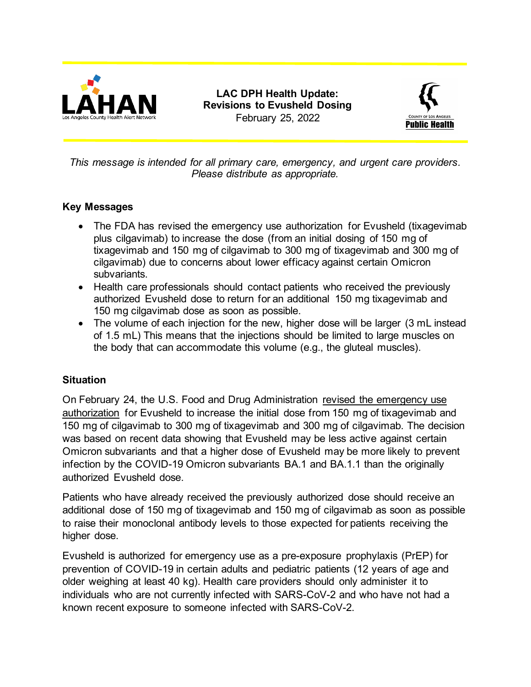

**LAC DPH Health Update: Revisions to Evusheld Dosing** February 25, 2022



*This message is intended for all primary care, emergency, and urgent care providers. Please distribute as appropriate.*

## **Key Messages**

- The FDA has revised the emergency use authorization for Evusheld (tixagevimab plus cilgavimab) to increase the dose (from an initial dosing of 150 mg of tixagevimab and 150 mg of cilgavimab to 300 mg of tixagevimab and 300 mg of cilgavimab) due to concerns about lower efficacy against certain Omicron subvariants.
- Health care professionals should contact patients who received the previously authorized Evusheld dose to return for an additional 150 mg tixagevimab and 150 mg cilgavimab dose as soon as possible.
- The volume of each injection for the new, higher dose will be larger (3 mL instead of 1.5 mL) This means that the injections should be limited to large muscles on the body that can accommodate this volume (e.g., the gluteal muscles).

## **Situation**

On February 24, the U.S. Food and Drug Administration [revised the emergency use](https://www.fda.gov/drugs/drug-safety-and-availability/fda-authorizes-revisions-evusheld-dosing)  [authorization](https://www.fda.gov/drugs/drug-safety-and-availability/fda-authorizes-revisions-evusheld-dosing) for Evusheld to increase the initial dose from 150 mg of tixagevimab and 150 mg of cilgavimab to 300 mg of tixagevimab and 300 mg of cilgavimab. The decision was based on recent data showing that Evusheld may be less active against certain Omicron subvariants and that a higher dose of Evusheld may be more likely to prevent infection by the COVID-19 Omicron subvariants BA.1 and BA.1.1 than the originally authorized Evusheld dose.

Patients who have already received the previously authorized dose should receive an additional dose of 150 mg of tixagevimab and 150 mg of cilgavimab as soon as possible to raise their monoclonal antibody levels to those expected for patients receiving the higher dose.

Evusheld is authorized for emergency use as a pre-exposure prophylaxis (PrEP) for prevention of COVID-19 in certain adults and pediatric patients (12 years of age and older weighing at least 40 kg). Health care providers should only administer it to individuals who are not currently infected with SARS-CoV-2 and who have not had a known recent exposure to someone infected with SARS-CoV-2.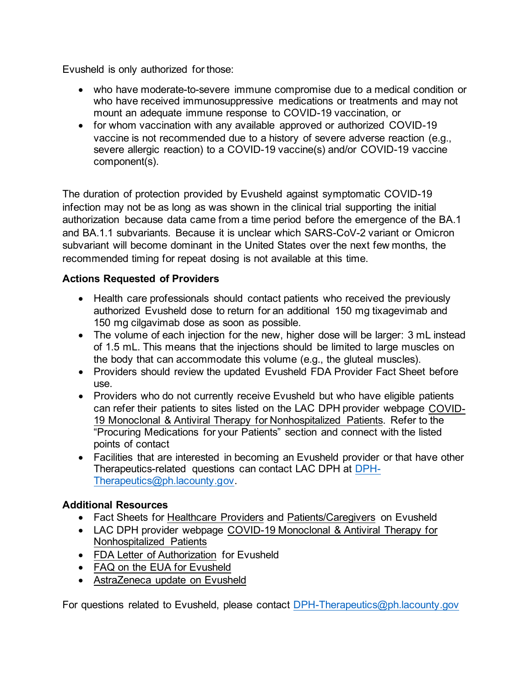Evusheld is only authorized for those:

- who have moderate-to-severe immune compromise due to a medical condition or who have received immunosuppressive medications or treatments and may not mount an adequate immune response to COVID-19 vaccination, or
- for whom vaccination with any available approved or authorized COVID-19 vaccine is not recommended due to a history of severe adverse reaction (e.g., severe allergic reaction) to a COVID-19 vaccine(s) and/or COVID-19 vaccine component(s).

The duration of protection provided by Evusheld against symptomatic COVID-19 infection may not be as long as was shown in the clinical trial supporting the initial authorization because data came from a time period before the emergence of the BA.1 and BA.1.1 subvariants. Because it is unclear which SARS-CoV-2 variant or Omicron subvariant will become dominant in the United States over the next few months, the recommended timing for repeat dosing is not available at this time.

## **Actions Requested of Providers**

- Health care professionals should contact patients who received the previously authorized Evusheld dose to return for an additional 150 mg tixagevimab and 150 mg cilgavimab dose as soon as possible.
- The volume of each injection for the new, higher dose will be larger: 3 mL instead of 1.5 mL. This means that the injections should be limited to large muscles on the body that can accommodate this volume (e.g., the gluteal muscles).
- Providers should review the updated Evusheld FDA Provider Fact Sheet before use.
- Providers who do not currently receive Evusheld but who have eligible patients can refer their patients to sites listed on the LAC DPH provider webpage [COVID-](http://publichealth.lacounty.gov/acd/ncorona2019/Therapeutics/)[19 Monoclonal & Antiviral Therapy for Nonhospitalized Patients.](http://publichealth.lacounty.gov/acd/ncorona2019/Therapeutics/) Refer to the "Procuring Medications for your Patients" section and connect with the listed points of contact
- Facilities that are interested in becoming an Evusheld provider or that have other Therapeutics-related questions can contact LAC DPH at [DPH-](file://hosted.lac.com/dph/hc/lahan/Actual%20HANs%20and%20drafts/Alerts%20sent%20by%20subject/LAHAN%20Evusheld%2002.25.22/DPH-Therapeutics@ph.lacounty.gov)[Therapeutics@ph.lacounty.gov.](file://hosted.lac.com/dph/hc/lahan/Actual%20HANs%20and%20drafts/Alerts%20sent%20by%20subject/LAHAN%20Evusheld%2002.25.22/DPH-Therapeutics@ph.lacounty.gov)

## **Additional Resources**

- Fact Sheets for [Healthcare Providers](https://www.fda.gov/media/154701/download) and [Patients/Caregivers](https://www.fda.gov/media/154702/download) on Evusheld
- LAC DPH provider webpage [COVID-19 Monoclonal & Antiviral Therapy for](http://publichealth.lacounty.gov/acd/ncorona2019/Therapeutics/) [Nonhospitalized Patients](http://publichealth.lacounty.gov/acd/ncorona2019/Therapeutics/)
- [FDA Letter of Authorization](https://den8dhaj6zs0e.cloudfront.net/50fd68b9-106b-4550-b5d0-12b045f8b184/6d1d5fea-2532-46e9-a1d4-1504f6dd41b2/6d1d5fea-2532-46e9-a1d4-1504f6dd41b2_pi_ifu_rendition__c.pdf) for Evusheld
- [FAQ on the EUA for Evusheld](https://www.fda.gov/media/154703/download)
- AstraZeneca [update on Evusheld](https://www.astrazeneca.com/media-centre/statements/2022/fda-evusheld-dosage-update-us.html)

For questions related to Evusheld, please contact DPH-Therapeutics@ph.lacounty.gov